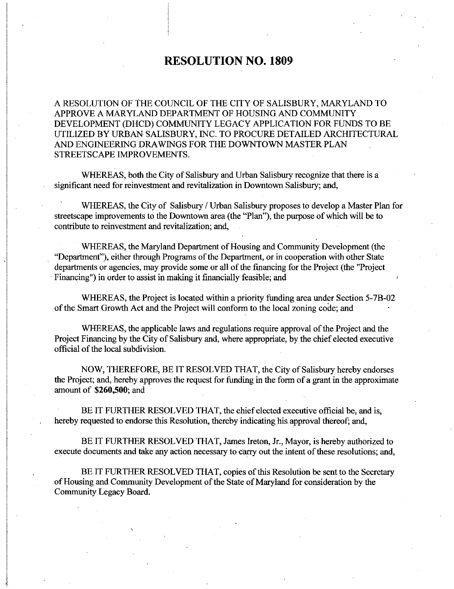## RESOLUTION NO. 1809

A RESOLUTION OF THE COUNCIL OF THE CITY OF SALISBURY MARYLAND TO APPROVE A MARYLAND DEPARTMENT OF HOUSING AND COMMUNITY DEVELOPMENT (DHCD) COMMUNITY LEGACY APPLICATION FOR FUNDS TO BE UTILIZED BY URBAN SALISBURY INC TO PROCURE DETAILED ARCHITECTURAL AND ENGINEERING DRAWINGS FOR THE DOWNTOWN MASTER PLAN STREETSCAPE IMPROVEMENTS.

WHEREAS, both the City of Salisbury and Urban Salisbury recognize that there is a significant need for reinvestment and revitalization in Downtown Salisbury; and,

WHEREAS, the City of Salisbury / Urban Salisbury proposes to develop a Master Plan for streetscape improvements to the Downtown area (the "Plan"), the purpose of which will be to contribute to reinvestment and revitalization; and,

WHEREAS, the Maryland Department of Housing and Community Development (the "Department"), either through Programs of the Department, or in cooperation with other State departments or agencies, may provide some or all of the financing for the Project (the "Project" Financing") in order to assist in making it financially feasible; and priority funding and community Development (the<br>artment, or in cooperation with other State<br>f the financing for the Project (the "Project<br>y feasible; and<br>priority funding area under Section 5-7B-02<br>prm to the local zoning

WHEREAS, the Project is located within a of the Smart Growth Act and the Project will conform to the local zoning code; and

WHEREAS, the applicable laws and regulations require approval of the Project and the Project Financing by the City of Salisbury and, where appropriate, by the chief elected executive official of the local subdivision

NOW, THEREFORE, BE IT RESOLVED THAT, the City of Salisbury hereby endorses the Project; and, hereby approves the request for funding in the form of a grant in the approximate amount of  $$260,500$ ; and

BE IT FURTHER RESOLVED THAT, the chief elected executive official be, and is, hereby requested to endorse this Resolution, thereby indicating his approval thereof; and,

BE IT FURTHER RESOLVED THAT, James Ireton, Jr., Mayor, is hereby authorized to execute documents and take any action necessary to carry out the intent of these resolutions; and,

BE IT FURTHER RESOLVED THAT, copies of this Resolution be sent to the Secretary of Housing and Community Development of the State of Maryland for consideration by the Community Legacy Board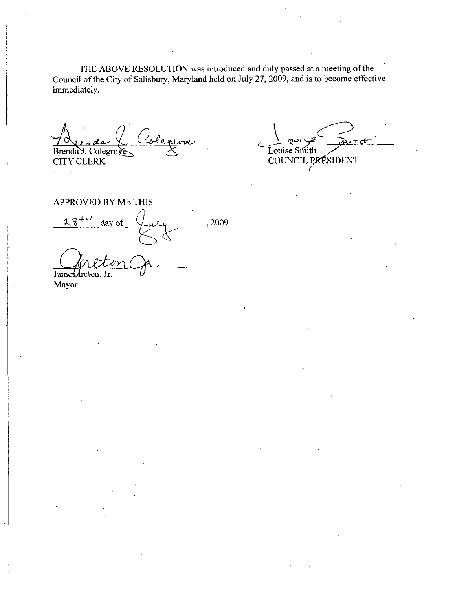THE ABOVE RESOLUTION was introduced and duly passed at a meeting of the Council of the City of Salisbury, Maryland held on July 27, 2009, and is to become effective<br>
immediately.<br>
Frenda J. Colegrove Colegrove Louise Smith<br>
CITY CLERK COUNCIL PRESIDENT immediately

Brenda Y. Colegrove CITY CLERK

Louise Smith COUNCIL PRESIDENT

APPROVED BY ME THIS<br>  $28^{+\nu}$  day of  $\mu$  2009 L JamesAreton, Jr.

Mayor